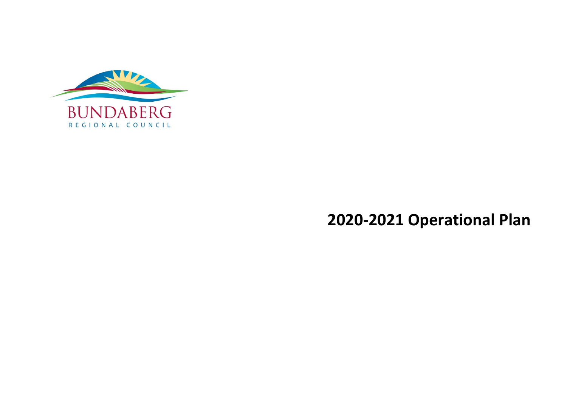

# **2020-2021 Operational Plan**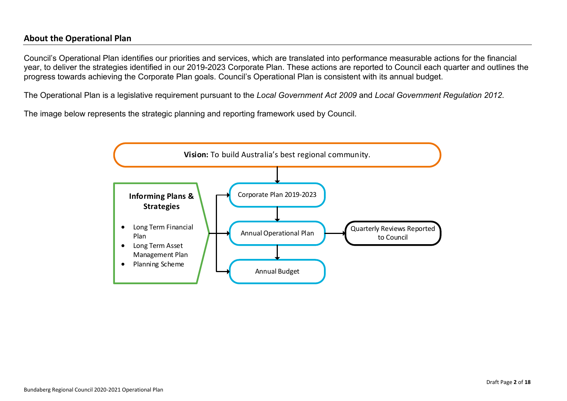# **About the Operational Plan**

Council's Operational Plan identifies our priorities and services, which are translated into performance measurable actions for the financial year, to deliver the strategies identified in our 2019-2023 Corporate Plan. These actions are reported to Council each quarter and outlines the progress towards achieving the Corporate Plan goals. Council's Operational Plan is consistent with its annual budget.

The Operational Plan is a legislative requirement pursuant to the *Local Government Act 2009* and *Local Government Regulation 2012*.

The image below represents the strategic planning and reporting framework used by Council.

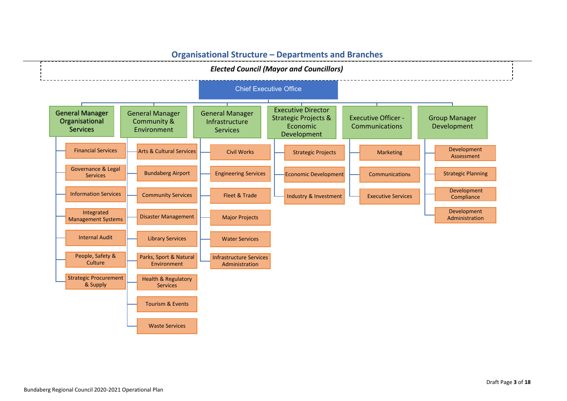

# **Organisational Structure – Departments and Branches**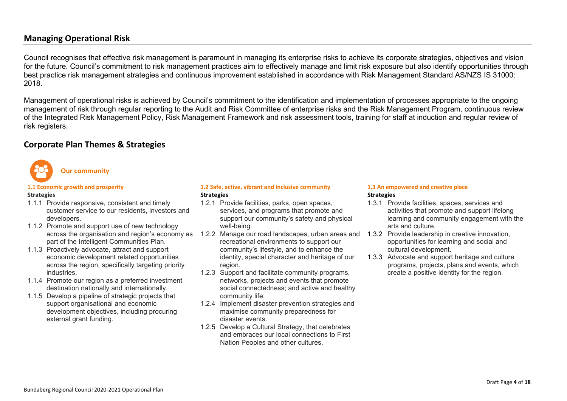# **Managing Operational Risk**

Council recognises that effective risk management is paramount in managing its enterprise risks to achieve its corporate strategies, objectives and vision for the future. Council's commitment to risk management practices aim to effectively manage and limit risk exposure but also identify opportunities through best practice risk management strategies and continuous improvement established in accordance with Risk Management Standard AS/NZS IS 31000: 2018.

Management of operational risks is achieved by Council's commitment to the identification and implementation of processes appropriate to the ongoing management of risk through regular reporting to the Audit and Risk Committee of enterprise risks and the Risk Management Program, continuous review of the Integrated Risk Management Policy, Risk Management Framework and risk assessment tools, training for staff at induction and regular review of risk registers.

# **Corporate Plan Themes & Strategies**



**Our community**

#### **Strategies**

- 1.1.1 Provide responsive, consistent and timely customer service to our residents, investors and developers.
- 1.1.2 Promote and support use of new technology across the organisation and region's economy as part of the Intelligent Communities Plan.
- 1.1.3 Proactively advocate, attract and support economic development related opportunities across the region, specifically targeting priority industries.
- 1.1.4 Promote our region as a preferred investment destination nationally and internationally.
- 1.1.5 Develop a pipeline of strategic projects that support organisational and economic development objectives, including procuring external grant funding.

#### **1.1 Economic growth and prosperity 1.2 Safe, active, vibrant and inclusive community 1.3 An empowered and creative place Strategies**

- 1.2.1 Provide facilities, parks, open spaces, services, and programs that promote and support our community's safety and physical well-being.
- 1.2.2 Manage our road landscapes, urban areas and recreational environments to support our community's lifestyle, and to enhance the identity, special character and heritage of our region.
- 1.2.3 Support and facilitate community programs, networks, projects and events that promote social connectedness; and active and healthy community life.
- 1.2.4 Implement disaster prevention strategies and maximise community preparedness for disaster events.
- 1.2.5 Develop a Cultural Strategy, that celebrates and embraces our local connections to First Nation Peoples and other cultures.

# **Strategies**

- 1.3.1 Provide facilities, spaces, services and activities that promote and support lifelong learning and community engagement with the arts and culture.
- 1.3.2 Provide leadership in creative innovation, opportunities for learning and social and cultural development.
- 1.3.3 Advocate and support heritage and culture programs, projects, plans and events, which create a positive identity for the region.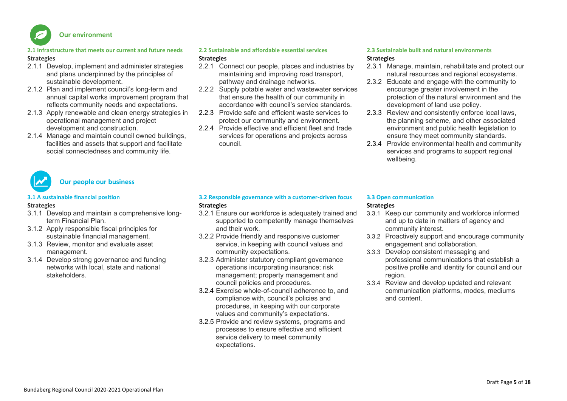

# **2.1 Infrastructure that meets our current and future needs 2.2 Sustainable and affordable essential services 2.3 Sustainable built and natural environments**

#### **Strategies**

- 2.1.1 Develop, implement and administer strategies and plans underpinned by the principles of sustainable development.
- 2.1.2 Plan and implement council's long-term and annual capital works improvement program that reflects community needs and expectations.
- 2.1.3 Apply renewable and clean energy strategies in operational management and project development and construction.
- 2.1.4 Manage and maintain council owned buildings, facilities and assets that support and facilitate social connectedness and community life.

#### **Our people our business**

#### **Strategies**

- 3.1.1 Develop and maintain a comprehensive longterm Financial Plan.
- 3.1.2 Apply responsible fiscal principles for sustainable financial management.
- 3.1.3 Review, monitor and evaluate asset management.
- 3.1.4 Develop strong governance and funding networks with local, state and national stakeholders.

# **Strategies**

- 2.2.1 Connect our people, places and industries by maintaining and improving road transport, pathway and drainage networks.
- 2.2.2 Supply potable water and wastewater services that ensure the health of our community in accordance with council's service standards.
- 2.2.3 Provide safe and efficient waste services to protect our community and environment.
- 2.2.4 Provide effective and efficient fleet and trade services for operations and projects across council.

#### **Strategies**

- 2.3.1 Manage, maintain, rehabilitate and protect our natural resources and regional ecosystems.
- 2.3.2 Educate and engage with the community to encourage greater involvement in the protection of the natural environment and the development of land use policy.
- 2.3.3 Review and consistently enforce local laws, the planning scheme, and other associated environment and public health legislation to ensure they meet community standards.
- 2.3.4 Provide environmental health and community services and programs to support regional wellbeing.

#### **3.1 A sustainable financial position 3.2 Responsible governance with a customer-driven focus 3.3 Open communication Strategies**

- 3.2.1 Ensure our workforce is adequately trained and supported to competently manage themselves and their work.
- 3.2.2 Provide friendly and responsive customer service, in keeping with council values and community expectations.
- 3.2.3 Administer statutory compliant governance operations incorporating insurance; risk management; property management and council policies and procedures.
- 3.2.4 Exercise whole-of-council adherence to, and compliance with, council's policies and procedures, in keeping with our corporate values and community's expectations.
- 3.2.5 Provide and review systems, programs and processes to ensure effective and efficient service delivery to meet community expectations.

#### **Strategies**

- 3.3.1 Keep our community and workforce informed and up to date in matters of agency and community interest.
- 3.3.2 Proactively support and encourage community engagement and collaboration.
- 3.3.3 Develop consistent messaging and professional communications that establish a positive profile and identity for council and our region.
- 3.3.4 Review and develop updated and relevant communication platforms, modes, mediums and content.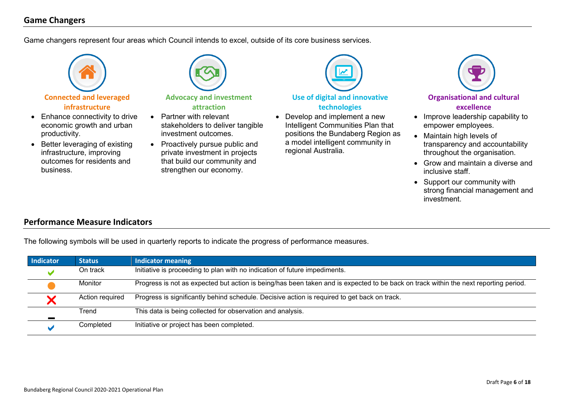# **Game Changers**

Game changers represent four areas which Council intends to excel, outside of its core business services.



### **Connected and leveraged infrastructure**

- Enhance connectivity to drive economic growth and urban productivity.
- Better leveraging of existing infrastructure, improving outcomes for residents and business.



#### **Advocacy and investment attraction**

- Partner with relevant stakeholders to deliver tangible investment outcomes.
- Proactively pursue public and private investment in projects that build our community and strengthen our economy.



#### **Use of digital and innovative technologies**

• Develop and implement a new Intelligent Communities Plan that positions the Bundaberg Region as a model intelligent community in regional Australia.



#### **Organisational and cultural excellence**

- Improve leadership capability to empower employees.
- Maintain high levels of transparency and accountability throughout the organisation.
- Grow and maintain a diverse and inclusive staff.
- Support our community with strong financial management and investment.

# **Performance Measure Indicators**

The following symbols will be used in quarterly reports to indicate the progress of performance measures.

| Indicator | <b>Status</b>   | Indicator meaning                                                                                                                    |
|-----------|-----------------|--------------------------------------------------------------------------------------------------------------------------------------|
|           | On track        | Initiative is proceeding to plan with no indication of future impediments.                                                           |
|           | Monitor         | Progress is not as expected but action is being/has been taken and is expected to be back on track within the next reporting period. |
|           | Action required | Progress is significantly behind schedule. Decisive action is required to get back on track.                                         |
|           | Trend           | This data is being collected for observation and analysis.                                                                           |
|           | Completed       | Initiative or project has been completed.                                                                                            |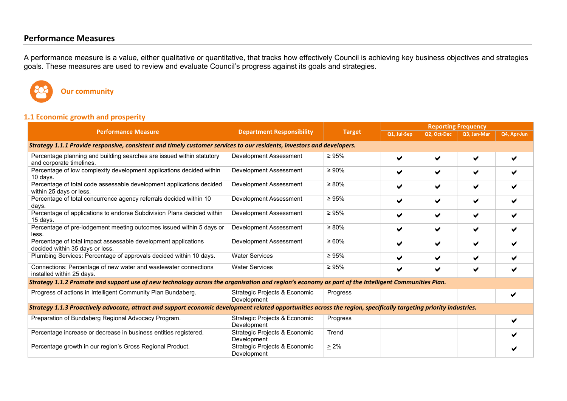# **Performance Measures**

A performance measure is a value, either qualitative or quantitative, that tracks how effectively Council is achieving key business objectives and strategies goals. These measures are used to review and evaluate Council's progress against its goals and strategies.



**Our community**

### **1.1 Economic growth and prosperity**

|                                                                                                                                                                    |                                              |               | <b>Reporting Frequency</b> |             |             |             |  |
|--------------------------------------------------------------------------------------------------------------------------------------------------------------------|----------------------------------------------|---------------|----------------------------|-------------|-------------|-------------|--|
| <b>Performance Measure</b>                                                                                                                                         | <b>Department Responsibility</b>             | <b>Target</b> | Q1, Jul-Sep                | Q2, Oct-Dec | Q3, Jan-Mar | Q4, Apr-Jun |  |
| Strategy 1.1.1 Provide responsive, consistent and timely customer services to our residents, investors and developers.                                             |                                              |               |                            |             |             |             |  |
| Percentage planning and building searches are issued within statutory<br>and corporate timelines.                                                                  | Development Assessment                       | $\geq 95\%$   | ✔                          | ✔           | ✔           |             |  |
| Percentage of low complexity development applications decided within<br>10 days.                                                                                   | Development Assessment                       | $\geq 90\%$   | ✔                          | ✔           | ✔           |             |  |
| Percentage of total code assessable development applications decided<br>within 25 days or less.                                                                    | Development Assessment                       | $\geq 80\%$   | ✔                          | ✔           | ✔           |             |  |
| Percentage of total concurrence agency referrals decided within 10<br>days.                                                                                        | Development Assessment                       | $\geq 95\%$   | ✔                          | ✔           | ✔           |             |  |
| Percentage of applications to endorse Subdivision Plans decided within<br>15 days.                                                                                 | Development Assessment                       | $\geq 95\%$   | ✔                          | ✔           | ✔           |             |  |
| Percentage of pre-lodgement meeting outcomes issued within 5 days or<br>less.                                                                                      | Development Assessment                       | $\geq 80\%$   | ✔                          | ✔           | ✔           |             |  |
| Percentage of total impact assessable development applications<br>decided within 35 days or less.                                                                  | Development Assessment                       | $\geq 60\%$   | ✔                          | ✔           | ✔           |             |  |
| Plumbing Services: Percentage of approvals decided within 10 days.                                                                                                 | <b>Water Services</b>                        | $\geq 95\%$   | ✔                          | ✔           | ✔           |             |  |
| Connections: Percentage of new water and wastewater connections<br>installed within 25 days.                                                                       | <b>Water Services</b>                        | $\geq 95\%$   | ✔                          | ✔           | ✔           |             |  |
| Strategy 1.1.2 Promote and support use of new technology across the organisation and region's economy as part of the Intelligent Communities Plan.                 |                                              |               |                            |             |             |             |  |
| Progress of actions in Intelligent Community Plan Bundaberg.                                                                                                       | Strategic Projects & Economic<br>Development | Progress      |                            |             |             |             |  |
| Strategy 1.1.3 Proactively advocate, attract and support economic development related opportunities across the region, specifically targeting priority industries. |                                              |               |                            |             |             |             |  |
| Preparation of Bundaberg Regional Advocacy Program.                                                                                                                | Strategic Projects & Economic<br>Development | Progress      |                            |             |             |             |  |
| Percentage increase or decrease in business entities registered.                                                                                                   | Strategic Projects & Economic<br>Development | Trend         |                            |             |             |             |  |
| Percentage growth in our region's Gross Regional Product.                                                                                                          | Strategic Projects & Economic<br>Development | $> 2\%$       |                            |             |             |             |  |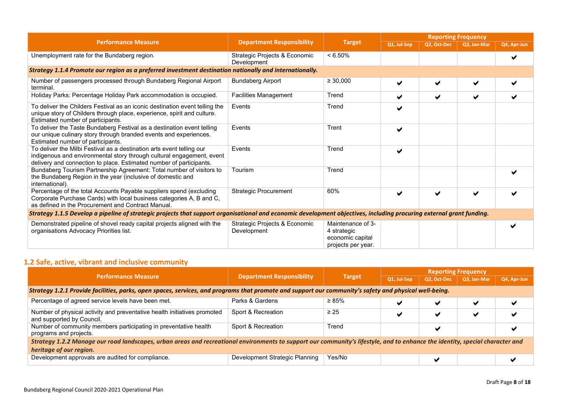|                                                                                                                                                                                                                       |                                              |                                                                            | <b>Reporting Frequency</b> |             |             |             |  |
|-----------------------------------------------------------------------------------------------------------------------------------------------------------------------------------------------------------------------|----------------------------------------------|----------------------------------------------------------------------------|----------------------------|-------------|-------------|-------------|--|
| <b>Performance Measure</b>                                                                                                                                                                                            | <b>Department Responsibility</b>             | <b>Target</b>                                                              | Q1, Jul-Sep                | Q2, Oct-Dec | Q3, Jan-Mar | Q4, Apr-Jun |  |
| Unemployment rate for the Bundaberg region.                                                                                                                                                                           | Strategic Projects & Economic<br>Development | $< 6.50\%$                                                                 |                            |             |             | ✔           |  |
| Strategy 1.1.4 Promote our region as a preferred investment destination nationally and internationally.                                                                                                               |                                              |                                                                            |                            |             |             |             |  |
| Number of passengers processed through Bundaberg Regional Airport<br>terminal.                                                                                                                                        | <b>Bundaberg Airport</b>                     | $\geq 30,000$                                                              | ✔                          | ✔           | ✔           |             |  |
| Holiday Parks: Percentage Holiday Park accommodation is occupied.                                                                                                                                                     | <b>Facilities Management</b>                 | Trend                                                                      | ✔                          | ✔           | ✔           | ✔           |  |
| To deliver the Childers Festival as an iconic destination event telling the<br>unique story of Childers through place, experience, spirit and culture.<br>Estimated number of participants.                           | Events                                       | Trend                                                                      | ✔                          |             |             |             |  |
| To deliver the Taste Bundaberg Festival as a destination event telling<br>our unique culinary story through branded events and experiences.<br>Estimated number of participants.                                      | Events                                       | Trent                                                                      | ✔                          |             |             |             |  |
| To deliver the Milbi Festival as a destination arts event telling our<br>indigenous and environmental story through cultural engagement, event<br>delivery and connection to place. Estimated number of participants. | Events                                       | Trend                                                                      | ✔                          |             |             |             |  |
| Bundaberg Tourism Partnership Agreement: Total number of visitors to<br>the Bundaberg Region in the year (inclusive of domestic and<br>international).                                                                | Tourism                                      | Trend                                                                      |                            |             |             |             |  |
| Percentage of the total Accounts Payable suppliers spend (excluding<br>Corporate Purchase Cards) with local business categories A, B and C,<br>as defined in the Procurement and Contract Manual                      | <b>Strategic Procurement</b>                 | 60%                                                                        | ✔                          | ✔           |             |             |  |
| Strategy 1.1.5 Develop a pipeline of strategic projects that support organisational and economic development objectives, including procuring external grant funding.                                                  |                                              |                                                                            |                            |             |             |             |  |
| Demonstrated pipeline of shovel ready capital projects aligned with the<br>organisations Advocacy Priorities list.                                                                                                    | Strategic Projects & Economic<br>Development | Maintenance of 3-<br>4 strategic<br>economic capital<br>projects per year. |                            |             |             |             |  |

# **1.2 Safe, active, vibrant and inclusive community**

|                                                                                                                                                                               |                                  |             | <b>Reporting Frequency</b> |             |             |             |  |
|-------------------------------------------------------------------------------------------------------------------------------------------------------------------------------|----------------------------------|-------------|----------------------------|-------------|-------------|-------------|--|
| <b>Performance Measure</b>                                                                                                                                                    | <b>Department Responsibility</b> | Target      | Q1, Jul-Sep                | Q2, Oct-Dec | Q3, Jan-Mar | Q4, Apr-Jun |  |
| Strategy 1.2.1 Provide facilities, parks, open spaces, services, and programs that promote and support our community's safety and physical well-being.                        |                                  |             |                            |             |             |             |  |
| Percentage of agreed service levels have been met.                                                                                                                            | Parks & Gardens                  | $\geq 85\%$ |                            | ✔           | м           |             |  |
| Number of physical activity and preventative health initiatives promoted<br>and supported by Council.                                                                         | Sport & Recreation               | $\geq 25$   |                            | ✔           |             |             |  |
| Number of community members participating in preventative health<br>programs and projects.                                                                                    | Sport & Recreation               | Trend       |                            |             |             |             |  |
| Strategy 1.2.2 Manage our road landscapes, urban areas and recreational environments to support our community's lifestyle, and to enhance the identity, special character and |                                  |             |                            |             |             |             |  |
| heritage of our region.                                                                                                                                                       |                                  |             |                            |             |             |             |  |
| Development approvals are audited for compliance.                                                                                                                             | Development Strategic Planning   | Yes/No      |                            |             |             |             |  |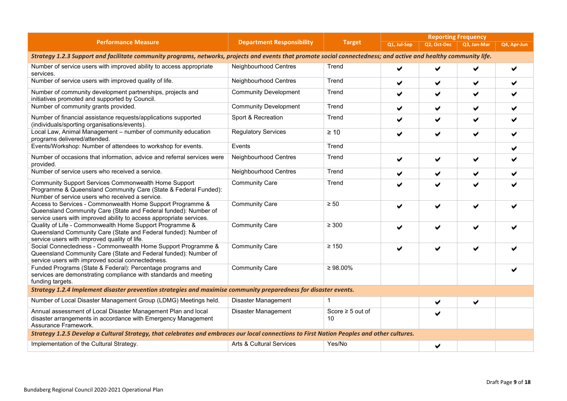|                                                                                                                                                                                                      |                                     |                             | <b>Reporting Frequency</b> |                       |             |             |
|------------------------------------------------------------------------------------------------------------------------------------------------------------------------------------------------------|-------------------------------------|-----------------------------|----------------------------|-----------------------|-------------|-------------|
| <b>Performance Measure</b>                                                                                                                                                                           | <b>Department Responsibility</b>    | <b>Target</b>               | Q1, Jul-Sep                | Q2, Oct-Dec           | Q3, Jan-Mar | Q4, Apr-Jun |
| Strategy 1.2.3 Support and facilitate community programs, networks, projects and events that promote social connectedness; and active and healthy community life.                                    |                                     |                             |                            |                       |             |             |
| Number of service users with improved ability to access appropriate<br>services.                                                                                                                     | Neighbourhood Centres               | Trend                       | ✔                          | ✔                     | ✔           | ✔           |
| Number of service users with improved quality of life.                                                                                                                                               | Neighbourhood Centres               | Trend                       | ✔                          | ✔                     |             |             |
| Number of community development partnerships, projects and<br>initiatives promoted and supported by Council.                                                                                         | <b>Community Development</b>        | Trend                       | ✔                          | ✔                     | ✔           |             |
| Number of community grants provided.                                                                                                                                                                 | <b>Community Development</b>        | Trend                       | ✔                          | ✔                     | ✔           |             |
| Number of financial assistance requests/applications supported<br>(individuals/sporting organisations/events).                                                                                       | Sport & Recreation                  | Trend                       | ✔                          | ✔                     | ✔           |             |
| Local Law, Animal Management - number of community education<br>programs delivered/attended.                                                                                                         | <b>Regulatory Services</b>          | $\geq 10$                   | ✔                          | $\blacktriangledown$  | ✔           |             |
| Events/Workshop: Number of attendees to workshop for events.                                                                                                                                         | Events                              | Trend                       |                            |                       |             |             |
| Number of occasions that information, advice and referral services were<br>provided.                                                                                                                 | Neighbourhood Centres               | Trend                       | ✔                          | $\blacktriangledown$  | ✔           |             |
| Number of service users who received a service.                                                                                                                                                      | <b>Neighbourhood Centres</b>        | Trend                       | ✔                          | ✔                     | ✔           |             |
| Community Support Services Commonwealth Home Support<br>Programme & Queensland Community Care (State & Federal Funded):<br>Number of service users who received a service.                           | <b>Community Care</b>               | Trend                       | ✔                          | ✔                     |             |             |
| Access to Services - Commonwealth Home Support Programme &<br>Queensland Community Care (State and Federal funded): Number of<br>service users with improved ability to access appropriate services. | <b>Community Care</b>               | $\geq 50$                   | ✔                          | $\blacktriangleright$ | ✔           |             |
| Quality of Life - Commonwealth Home Support Programme &<br>Queensland Community Care (State and Federal funded): Number of<br>service users with improved quality of life.                           | <b>Community Care</b>               | $\geq 300$                  | ✔                          | ✔                     |             |             |
| Social Connectedness - Commonwealth Home Support Programme &<br>Queensland Community Care (State and Federal funded): Number of<br>service users with improved social connectedness.                 | <b>Community Care</b>               | $\geq 150$                  | ✔                          | $\blacktriangleright$ | ✔           |             |
| Funded Programs (State & Federal): Percentage programs and<br>services are demonstrating compliance with standards and meeting<br>funding targets.                                                   | <b>Community Care</b>               | $\geq 98.00\%$              |                            |                       |             |             |
| Strategy 1.2.4 Implement disaster prevention strategies and maximise community preparedness for disaster events.                                                                                     |                                     |                             |                            |                       |             |             |
| Number of Local Disaster Management Group (LDMG) Meetings held.                                                                                                                                      | Disaster Management                 |                             |                            | ✔                     | ✔           |             |
| Annual assessment of Local Disaster Management Plan and local<br>disaster arrangements in accordance with Emergency Management<br>Assurance Framework.                                               | Disaster Management                 | Score $\geq 5$ out of<br>10 |                            | ✔                     |             |             |
| Strategy 1.2.5 Develop a Cultural Strategy, that celebrates and embraces our local connections to First Nation Peoples and other cultures.                                                           |                                     |                             |                            |                       |             |             |
| Implementation of the Cultural Strategy.                                                                                                                                                             | <b>Arts &amp; Cultural Services</b> | Yes/No                      |                            | ✔                     |             |             |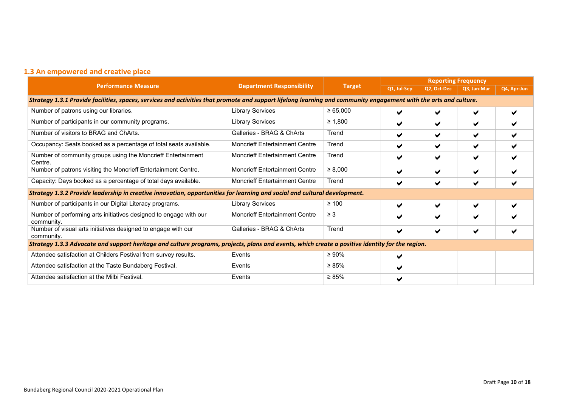# **1.3 An empowered and creative place**

|                                                                                                                                                 |                                                                                                                                                                   |              |             | <b>Reporting Frequency</b> |             |             |  |  |
|-------------------------------------------------------------------------------------------------------------------------------------------------|-------------------------------------------------------------------------------------------------------------------------------------------------------------------|--------------|-------------|----------------------------|-------------|-------------|--|--|
| <b>Performance Measure</b>                                                                                                                      | <b>Department Responsibility</b>                                                                                                                                  | Target       | Q1, Jul-Sep | Q2, Oct-Dec                | Q3, Jan-Mar | Q4, Apr-Jun |  |  |
|                                                                                                                                                 | Strategy 1.3.1 Provide facilities, spaces, services and activities that promote and support lifelong learning and community engagement with the arts and culture. |              |             |                            |             |             |  |  |
| Number of patrons using our libraries.                                                                                                          | <b>Library Services</b>                                                                                                                                           | $\ge 65,000$ | ✔           | ✔                          | ✔           |             |  |  |
| Number of participants in our community programs.                                                                                               | <b>Library Services</b>                                                                                                                                           | $\geq 1,800$ | ✔           | ✔                          | ✔           |             |  |  |
| Number of visitors to BRAG and ChArts.                                                                                                          | Galleries - BRAG & ChArts                                                                                                                                         | Trend        | ✔           | ✔                          |             |             |  |  |
| Occupancy: Seats booked as a percentage of total seats available.                                                                               | <b>Moncrieff Entertainment Centre</b>                                                                                                                             | Trend        | ✔           | ✔                          | ✔           |             |  |  |
| Number of community groups using the Moncrieff Entertainment<br>Centre.                                                                         | <b>Moncrieff Entertainment Centre</b>                                                                                                                             | Trend        | ✔           | ✔                          | ✔           |             |  |  |
| Number of patrons visiting the Moncrieff Entertainment Centre.                                                                                  | <b>Moncrieff Entertainment Centre</b>                                                                                                                             | $\geq 8,000$ | ✔           | ✔                          | ✔           |             |  |  |
| Capacity: Days booked as a percentage of total days available.                                                                                  | <b>Moncrieff Entertainment Centre</b>                                                                                                                             | Trend        | ✔           | ✔                          | ✔           |             |  |  |
| Strategy 1.3.2 Provide leadership in creative innovation, opportunities for learning and social and cultural development.                       |                                                                                                                                                                   |              |             |                            |             |             |  |  |
| Number of participants in our Digital Literacy programs.                                                                                        | <b>Library Services</b>                                                                                                                                           | $\geq 100$   | ✔           | ✔                          | ✔           |             |  |  |
| Number of performing arts initiatives designed to engage with our<br>community.                                                                 | <b>Moncrieff Entertainment Centre</b>                                                                                                                             | $\geq 3$     | ✔           | ✔                          | ✔           |             |  |  |
| Number of visual arts initiatives designed to engage with our<br>community.                                                                     | Galleries - BRAG & ChArts                                                                                                                                         | Trend        | ✔           | ✔                          |             |             |  |  |
| Strategy 1.3.3 Advocate and support heritage and culture programs, projects, plans and events, which create a positive identity for the region. |                                                                                                                                                                   |              |             |                            |             |             |  |  |
| Attendee satisfaction at Childers Festival from survey results.                                                                                 | Events                                                                                                                                                            | $\geq 90\%$  | ✔           |                            |             |             |  |  |
| Attendee satisfaction at the Taste Bundaberg Festival.                                                                                          | Events                                                                                                                                                            | $\geq 85\%$  | ✔           |                            |             |             |  |  |
| Attendee satisfaction at the Milbi Festival.                                                                                                    | Events                                                                                                                                                            | $\geq 85\%$  | ✔           |                            |             |             |  |  |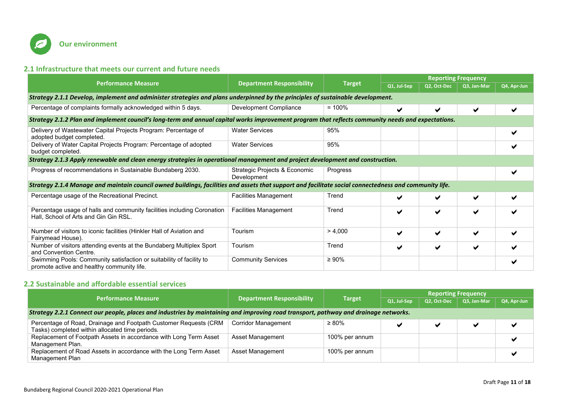

# **2.1 Infrastructure that meets our current and future needs**

|                                                                                                                                                        |                                              |               | <b>Reporting Frequency</b> |              |             |             |  |
|--------------------------------------------------------------------------------------------------------------------------------------------------------|----------------------------------------------|---------------|----------------------------|--------------|-------------|-------------|--|
| <b>Performance Measure</b>                                                                                                                             | <b>Department Responsibility</b>             | <b>Target</b> | Q1, Jul-Sep                | Q2, Oct-Dec  | Q3, Jan-Mar | Q4, Apr-Jun |  |
| Strategy 2.1.1 Develop, implement and administer strategies and plans underpinned by the principles of sustainable development.                        |                                              |               |                            |              |             |             |  |
| Percentage of complaints formally acknowledged within 5 days.                                                                                          | Development Compliance                       | $= 100%$      |                            | $\checkmark$ |             |             |  |
| Strategy 2.1.2 Plan and implement council's long-term and annual capital works improvement program that reflects community needs and expectations.     |                                              |               |                            |              |             |             |  |
| Delivery of Wastewater Capital Projects Program: Percentage of<br>adopted budget completed.                                                            | <b>Water Services</b>                        | 95%           |                            |              |             |             |  |
| Delivery of Water Capital Projects Program: Percentage of adopted<br>budget completed.                                                                 | <b>Water Services</b>                        | 95%           |                            |              |             |             |  |
| Strategy 2.1.3 Apply renewable and clean energy strategies in operational management and project development and construction.                         |                                              |               |                            |              |             |             |  |
| Progress of recommendations in Sustainable Bundaberg 2030.                                                                                             | Strategic Projects & Economic<br>Development | Progress      |                            |              |             |             |  |
| Strategy 2.1.4 Manage and maintain council owned buildings, facilities and assets that support and facilitate social connectedness and community life. |                                              |               |                            |              |             |             |  |
| Percentage usage of the Recreational Precinct.                                                                                                         | <b>Facilities Management</b>                 | Trend         | ✔                          | ✔            | ✔           |             |  |
| Percentage usage of halls and community facilities including Coronation<br>Hall, School of Arts and Gin Gin RSL.                                       | <b>Facilities Management</b>                 | Trend         | ✔                          | ✔            | ✔           |             |  |
| Number of visitors to iconic facilities (Hinkler Hall of Aviation and<br>Fairymead House).                                                             | Tourism                                      | > 4,000       | ✔                          | ✔            | ✔           |             |  |
| Number of visitors attending events at the Bundaberg Multiplex Sport<br>and Convention Centre.                                                         | Tourism                                      | Trend         | ✔                          | ✔            | ✔           |             |  |
| Swimming Pools: Community satisfaction or suitability of facility to<br>promote active and healthy community life.                                     | <b>Community Services</b>                    | $\geq 90\%$   |                            |              |             |             |  |

### **2.2 Sustainable and affordable essential services**

|                                                                                                                                      |                                                   |                | <b>Reporting Frequency</b> |             |             |             |  |
|--------------------------------------------------------------------------------------------------------------------------------------|---------------------------------------------------|----------------|----------------------------|-------------|-------------|-------------|--|
| <b>Performance Measure</b>                                                                                                           | <b>Department Responsibility</b><br><b>Target</b> |                | Q1, Jul-Sep                | Q2, Oct-Dec | Q3, Jan-Mar | Q4, Apr-Jun |  |
| Strategy 2.2.1 Connect our people, places and industries by maintaining and improving road transport, pathway and drainage networks. |                                                   |                |                            |             |             |             |  |
| Percentage of Road, Drainage and Footpath Customer Requests (CRM<br>Tasks) completed within allocated time periods.                  | <b>Corridor Management</b>                        | $\geq 80\%$    | м                          |             |             |             |  |
| Replacement of Footpath Assets in accordance with Long Term Asset<br>Management Plan.                                                | Asset Management                                  | 100% per annum |                            |             |             |             |  |
| Replacement of Road Assets in accordance with the Long Term Asset<br>Management Plan                                                 | Asset Management                                  | 100% per annum |                            |             |             |             |  |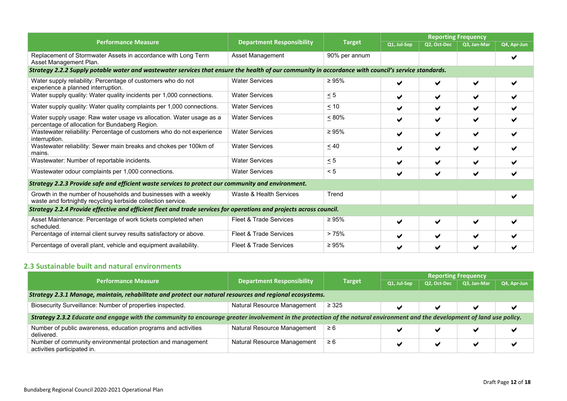|                                                                                                                                                     |                                   |               | <b>Reporting Frequency</b> |             |             |             |  |
|-----------------------------------------------------------------------------------------------------------------------------------------------------|-----------------------------------|---------------|----------------------------|-------------|-------------|-------------|--|
| <b>Performance Measure</b>                                                                                                                          | <b>Department Responsibility</b>  | <b>Target</b> | Q1, Jul-Sep                | Q2, Oct-Dec | Q3, Jan-Mar | Q4, Apr-Jun |  |
| Replacement of Stormwater Assets in accordance with Long Term<br>Asset Management Plan.                                                             | Asset Management                  | 90% per annum |                            |             |             |             |  |
| Strategy 2.2.2 Supply potable water and wastewater services that ensure the health of our community in accordance with council's service standards. |                                   |               |                            |             |             |             |  |
| Water supply reliability: Percentage of customers who do not<br>experience a planned interruption.                                                  | <b>Water Services</b>             | $\geq 95\%$   | ✔                          | ✔           | ✔           |             |  |
| Water supply quality: Water quality incidents per 1,000 connections.                                                                                | <b>Water Services</b>             | $\leq 5$      | ✔                          | ✔           |             |             |  |
| Water supply quality: Water quality complaints per 1,000 connections.                                                                               | <b>Water Services</b>             | $\leq 10$     | ✔                          | ✔           |             |             |  |
| Water supply usage: Raw water usage vs allocation. Water usage as a<br>percentage of allocation for Bundaberg Region.                               | <b>Water Services</b>             | $~< 80\%$     | ✔                          | ✔           | ✔           |             |  |
| Wastewater reliability: Percentage of customers who do not experience<br>interruption.                                                              | <b>Water Services</b>             | $\geq 95\%$   | ✔                          | ✔           | ✔           |             |  |
| Wastewater reliability: Sewer main breaks and chokes per 100km of<br>mains.                                                                         | <b>Water Services</b>             | $\leq 40$     | ✔                          | ✔           | ✔           |             |  |
| Wastewater: Number of reportable incidents.                                                                                                         | <b>Water Services</b>             | $\leq 5$      | ✔                          | ✔           | ✔           |             |  |
| Wastewater odour complaints per 1,000 connections.                                                                                                  | <b>Water Services</b>             | < 5           | ✔                          | ✔           | ✔           |             |  |
| Strategy 2.2.3 Provide safe and efficient waste services to protect our community and environment.                                                  |                                   |               |                            |             |             |             |  |
| Growth in the number of households and businesses with a weekly<br>waste and fortnightly recycling kerbside collection service.                     | Waste & Health Services           | Trend         |                            |             |             |             |  |
| Strategy 2.2.4 Provide effective and efficient fleet and trade services for operations and projects across council.                                 |                                   |               |                            |             |             |             |  |
| Asset Maintenance: Percentage of work tickets completed when<br>scheduled.                                                                          | <b>Fleet &amp; Trade Services</b> | $\geq 95\%$   | ✔                          | ✔           | ✔           |             |  |
| Percentage of internal client survey results satisfactory or above.                                                                                 | <b>Fleet &amp; Trade Services</b> | >75%          | ✔                          | ✔           | ✔           |             |  |
| Percentage of overall plant, vehicle and equipment availability.                                                                                    | Fleet & Trade Services            | $\geq 95\%$   |                            | ✔           |             |             |  |

# **2.3 Sustainable built and natural environments**

| <b>Performance Measure</b>                                                                                                                                                 | <b>Department Responsibility</b> | <b>Target</b> | <b>Reporting Frequency</b> |             |             |             |  |  |
|----------------------------------------------------------------------------------------------------------------------------------------------------------------------------|----------------------------------|---------------|----------------------------|-------------|-------------|-------------|--|--|
|                                                                                                                                                                            |                                  |               | Q1, Jul-Sep                | Q2. Oct-Dec | Q3, Jan-Mar | Q4, Apr-Jun |  |  |
| Strategy 2.3.1 Manage, maintain, rehabilitate and protect our natural resources and regional ecosystems.                                                                   |                                  |               |                            |             |             |             |  |  |
| Biosecurity Surveillance: Number of properties inspected.                                                                                                                  | Natural Resource Management      | $\geq$ 325    | м                          |             |             |             |  |  |
| Strategy 2.3.2 Educate and engage with the community to encourage greater involvement in the protection of the natural environment and the development of land use policy. |                                  |               |                            |             |             |             |  |  |
| Number of public awareness, education programs and activities<br>delivered.                                                                                                | Natural Resource Management      | $\geq 6$      | м                          |             |             |             |  |  |
| Number of community environmental protection and management<br>activities participated in.                                                                                 | Natural Resource Management      | $\geq 6$      | ×.                         |             |             |             |  |  |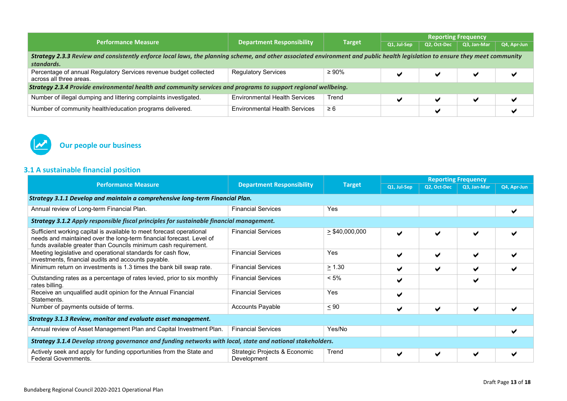|                                                                                                                                                                              |                                      |               | <b>Reporting Frequency</b> |             |             |             |  |
|------------------------------------------------------------------------------------------------------------------------------------------------------------------------------|--------------------------------------|---------------|----------------------------|-------------|-------------|-------------|--|
| <b>Performance Measure</b>                                                                                                                                                   | <b>Department Responsibility</b>     | <b>Target</b> | Q1, Jul-Sep                | Q2, Oct-Dec | Q3, Jan-Mar | Q4, Apr-Jun |  |
| Strategy 2.3.3 Review and consistently enforce local laws, the planning scheme, and other associated environment and public health legislation to ensure they meet community |                                      |               |                            |             |             |             |  |
| standards.                                                                                                                                                                   |                                      |               |                            |             |             |             |  |
| Percentage of annual Regulatory Services revenue budget collected<br>across all three areas.                                                                                 | <b>Regulatory Services</b>           | $\geq 90\%$   | м                          |             | ✔           |             |  |
| Strategy 2.3.4 Provide environmental health and community services and programs to support regional wellbeing.                                                               |                                      |               |                            |             |             |             |  |
| Number of illegal dumping and littering complaints investigated.                                                                                                             | <b>Environmental Health Services</b> | Trend         | м                          |             | ✔           |             |  |
| Number of community health/education programs delivered.                                                                                                                     | <b>Environmental Health Services</b> | $\geq 6$      |                            |             |             |             |  |



# **Our people our business**

#### **3.1 A sustainable financial position**

|                                                                                                                                                                                                                 |                                              |                     | <b>Reporting Frequency</b> |             |             |             |  |
|-----------------------------------------------------------------------------------------------------------------------------------------------------------------------------------------------------------------|----------------------------------------------|---------------------|----------------------------|-------------|-------------|-------------|--|
| <b>Performance Measure</b>                                                                                                                                                                                      | <b>Department Responsibility</b>             | <b>Target</b>       | Q1, Jul-Sep                | Q2, Oct-Dec | Q3, Jan-Mar | Q4, Apr-Jun |  |
| Strategy 3.1.1 Develop and maintain a comprehensive long-term Financial Plan.                                                                                                                                   |                                              |                     |                            |             |             |             |  |
| Annual review of Long-term Financial Plan.                                                                                                                                                                      | <b>Financial Services</b>                    | Yes                 |                            |             |             | ✔           |  |
| Strategy 3.1.2 Apply responsible fiscal principles for sustainable financial management.                                                                                                                        |                                              |                     |                            |             |             |             |  |
| Sufficient working capital is available to meet forecast operational<br>needs and maintained over the long-term financial forecast. Level of<br>funds available greater than Councils minimum cash requirement. | <b>Financial Services</b>                    | $\geq$ \$40,000,000 | ✔                          | ✔           | ✔           |             |  |
| Meeting legislative and operational standards for cash flow,<br>investments, financial audits and accounts payable.                                                                                             | <b>Financial Services</b>                    | Yes                 | ✔                          | ✔           | ✔           |             |  |
| Minimum return on investments is 1.3 times the bank bill swap rate.                                                                                                                                             | <b>Financial Services</b>                    | $\geq 1.30$         | ✔                          | ✔           | ✔           | ✔           |  |
| Outstanding rates as a percentage of rates levied, prior to six monthly<br>rates billing.                                                                                                                       | <b>Financial Services</b>                    | $< 5\%$             | ✔                          |             | ✔           |             |  |
| Receive an unqualified audit opinion for the Annual Financial<br>Statements.                                                                                                                                    | <b>Financial Services</b>                    | Yes                 | ✔                          |             |             |             |  |
| Number of payments outside of terms.                                                                                                                                                                            | <b>Accounts Payable</b>                      | $\leq 90$           | ✔                          | ✔           | ✔           | ✔           |  |
| Strategy 3.1.3 Review, monitor and evaluate asset management.                                                                                                                                                   |                                              |                     |                            |             |             |             |  |
| Annual review of Asset Management Plan and Capital Investment Plan.                                                                                                                                             | <b>Financial Services</b>                    | Yes/No              |                            |             |             | ✔           |  |
| Strategy 3.1.4 Develop strong governance and funding networks with local, state and national stakeholders.                                                                                                      |                                              |                     |                            |             |             |             |  |
| Actively seek and apply for funding opportunities from the State and<br><b>Federal Governments.</b>                                                                                                             | Strategic Projects & Economic<br>Development | Trend               | ✔                          | ✔           | ✔           | ✔           |  |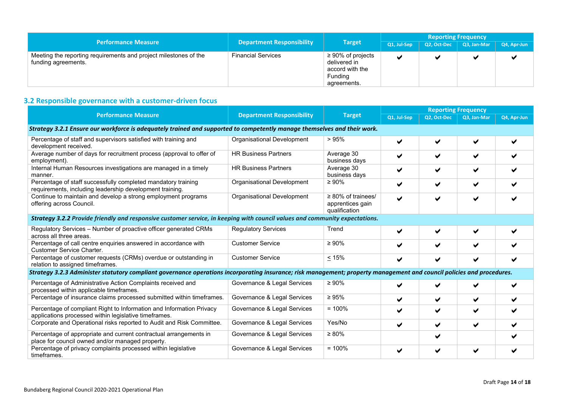| <b>Performance Measure</b>                                                              |                           |                                                                                      | <b>Reporting Frequency</b> |             |                            |             |  |  |  |
|-----------------------------------------------------------------------------------------|---------------------------|--------------------------------------------------------------------------------------|----------------------------|-------------|----------------------------|-------------|--|--|--|
|                                                                                         | Department Responsibility | <b>Target</b>                                                                        | Q1, Jul-Sep                | Q2, Oct-Dec | $Q3$ , Jan-Mar $\parallel$ | Q4, Apr-Jun |  |  |  |
| Meeting the reporting requirements and project milestones of the<br>funding agreements. | <b>Financial Services</b> | $\geq 90\%$ of projects<br>delivered in<br>accord with the<br>Funding<br>agreements. |                            |             |                            | M           |  |  |  |

# **3.2 Responsible governance with a customer-driven focus**

|                                                                                                                                                                        |                                  |                                                               | <b>Reporting Frequency</b> |             |             |             |  |
|------------------------------------------------------------------------------------------------------------------------------------------------------------------------|----------------------------------|---------------------------------------------------------------|----------------------------|-------------|-------------|-------------|--|
| <b>Performance Measure</b>                                                                                                                                             | <b>Department Responsibility</b> | <b>Target</b>                                                 | Q1, Jul-Sep                | Q2, Oct-Dec | Q3. Jan-Mar | Q4, Apr-Jun |  |
| Strategy 3.2.1 Ensure our workforce is adequately trained and supported to competently manage themselves and their work.                                               |                                  |                                                               |                            |             |             |             |  |
| Percentage of staff and supervisors satisfied with training and<br>development received.                                                                               | Organisational Development       | >95%                                                          | ✔                          | ✔           | ✔           | ✔           |  |
| Average number of days for recruitment process (approval to offer of<br>employment).                                                                                   | <b>HR Business Partners</b>      | Average 30<br>business days                                   | ✔                          | ✔           | ✔           |             |  |
| Internal Human Resources investigations are managed in a timely<br>manner.                                                                                             | <b>HR Business Partners</b>      | Average 30<br>business days                                   | ✔                          | ✔           | ✔           |             |  |
| Percentage of staff successfully completed mandatory training<br>requirements, including leadership development training.                                              | Organisational Development       | $\geq 90\%$                                                   | ✔                          | ✔           | ✔           |             |  |
| Continue to maintain and develop a strong employment programs<br>offering across Council.                                                                              | Organisational Development       | $\geq 80\%$ of trainees/<br>apprentices gain<br>qualification | ✔                          | ✔           | ✔           |             |  |
| Strategy 3.2.2 Provide friendly and responsive customer service, in keeping with council values and community expectations.                                            |                                  |                                                               |                            |             |             |             |  |
| Regulatory Services - Number of proactive officer generated CRMs<br>across all three areas.                                                                            | <b>Regulatory Services</b>       | Trend                                                         | ✔                          | ✔           | ✔           |             |  |
| Percentage of call centre enquiries answered in accordance with<br><b>Customer Service Charter.</b>                                                                    | <b>Customer Service</b>          | $\geq 90\%$                                                   | ✔                          | ✔           | ✔           |             |  |
| Percentage of customer requests (CRMs) overdue or outstanding in<br>relation to assigned timeframes.                                                                   | <b>Customer Service</b>          | $\leq 15\%$                                                   | ✔                          | ✔           | ✔           |             |  |
| Strategy 3.2.3 Administer statutory compliant governance operations incorporating insurance; risk management; property management and council policies and procedures. |                                  |                                                               |                            |             |             |             |  |
| Percentage of Administrative Action Complaints received and<br>processed within applicable timeframes.                                                                 | Governance & Legal Services      | $\geq 90\%$                                                   | ✔                          | ✔           | ✔           |             |  |
| Percentage of insurance claims processed submitted within timeframes.                                                                                                  | Governance & Legal Services      | $\geq 95\%$                                                   | ✔                          | ✔           | ✔           |             |  |
| Percentage of compliant Right to Information and Information Privacy<br>applications processed within legislative timeframes.                                          | Governance & Legal Services      | $= 100%$                                                      | ✔                          | ✔           | ✔           |             |  |
| Corporate and Operational risks reported to Audit and Risk Committee.                                                                                                  | Governance & Legal Services      | Yes/No                                                        | ✔                          | ✔           | ✔           |             |  |
| Percentage of appropriate and current contractual arrangements in<br>place for council owned and/or managed property.                                                  | Governance & Legal Services      | $\geq 80\%$                                                   |                            | ✔           |             |             |  |
| Percentage of privacy complaints processed within legislative<br>timeframes.                                                                                           | Governance & Legal Services      | $= 100%$                                                      |                            | ✔           |             |             |  |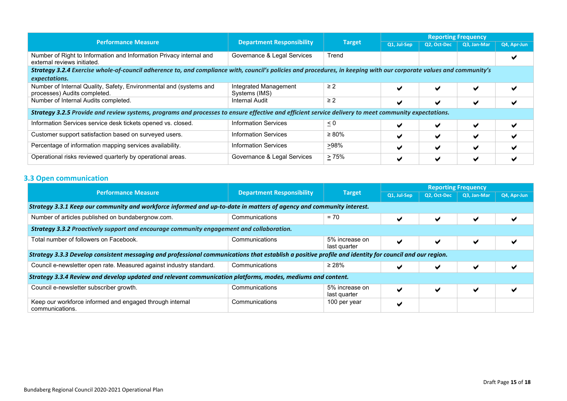|                                                                                                                                                                     |                                        |               | <b>Reporting Frequency</b> |             |             |             |
|---------------------------------------------------------------------------------------------------------------------------------------------------------------------|----------------------------------------|---------------|----------------------------|-------------|-------------|-------------|
| <b>Performance Measure</b>                                                                                                                                          | <b>Department Responsibility</b>       | <b>Target</b> | Q1, Jul-Sep                | Q2, Oct-Dec | Q3, Jan-Mar | Q4, Apr-Jun |
| Number of Right to Information and Information Privacy internal and<br>external reviews initiated.                                                                  | Governance & Legal Services            | Trend         |                            |             |             |             |
| Strategy 3.2.4 Exercise whole-of-council adherence to, and compliance with, council's policies and procedures, in keeping with our corporate values and community's |                                        |               |                            |             |             |             |
| expectations.                                                                                                                                                       |                                        |               |                            |             |             |             |
| Number of Internal Quality, Safety, Environmental and (systems and<br>processes) Audits completed.                                                                  | Integrated Management<br>Systems (IMS) | $\geq$ 2      |                            | ✔           |             |             |
| Number of Internal Audits completed.                                                                                                                                | Internal Audit                         | $\geq$ 2      |                            | ✔           |             |             |
| Strategy 3.2.5 Provide and review systems, programs and processes to ensure effective and efficient service delivery to meet community expectations.                |                                        |               |                            |             |             |             |
| Information Services service desk tickets opened vs. closed.                                                                                                        | <b>Information Services</b>            | $\leq 0$      |                            | ✔           | ✔           |             |
| Customer support satisfaction based on surveyed users.                                                                                                              | Information Services                   | $\geq 80\%$   |                            | ✔           | ✔           |             |
| Percentage of information mapping services availability.                                                                                                            | <b>Information Services</b>            | >98%          |                            | ✔           | ✔           |             |
| Operational risks reviewed quarterly by operational areas.                                                                                                          | Governance & Legal Services            | $\geq 75\%$   |                            |             |             |             |

#### **3.3 Open communication**

|                                                                                                                                                        |                                  |                                |                          | <b>Reporting Frequency</b> |             |             |  |  |
|--------------------------------------------------------------------------------------------------------------------------------------------------------|----------------------------------|--------------------------------|--------------------------|----------------------------|-------------|-------------|--|--|
| <b>Performance Measure</b>                                                                                                                             | <b>Department Responsibility</b> | <b>Target</b>                  | Q1, Jul-Sep              | Q2, Oct-Dec                | Q3, Jan-Mar | Q4, Apr-Jun |  |  |
| Strategy 3.3.1 Keep our community and workforce informed and up-to-date in matters of agency and community interest.                                   |                                  |                                |                          |                            |             |             |  |  |
| Number of articles published on bundabergnow.com.                                                                                                      | Communications                   | $= 70$                         | м                        | ✔                          | ✔           |             |  |  |
| Strategy 3.3.2 Proactively support and encourage community engagement and collaboration.                                                               |                                  |                                |                          |                            |             |             |  |  |
| Total number of followers on Facebook.                                                                                                                 | Communications                   | 5% increase on<br>last quarter | ✔                        | ✔                          | ✔           | ◡           |  |  |
| Strategy 3.3.3 Develop consistent messaging and professional communications that establish a positive profile and identity for council and our region. |                                  |                                |                          |                            |             |             |  |  |
| Council e-newsletter open rate. Measured against industry standard.                                                                                    | Communications                   | ≥ 28%                          | $\overline{\phantom{a}}$ |                            |             |             |  |  |
| Strategy 3.3.4 Review and develop updated and relevant communication platforms, modes, mediums and content.                                            |                                  |                                |                          |                            |             |             |  |  |
| Council e-newsletter subscriber growth.                                                                                                                | Communications                   | 5% increase on<br>last quarter | м                        | ✔                          | ✔           | ◡           |  |  |
| Keep our workforce informed and engaged through internal<br>communications.                                                                            | Communications                   | 100 per year                   | м                        |                            |             |             |  |  |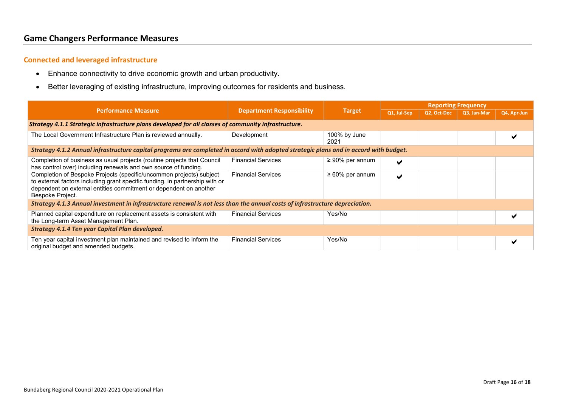# **Game Changers Performance Measures**

### **Connected and leveraged infrastructure**

- Enhance connectivity to drive economic growth and urban productivity.
- Better leveraging of existing infrastructure, improving outcomes for residents and business.

|                                                                                                                                                                                                                                              |                                                                                                      |                       | <b>Reporting Frequency</b> |             |             |             |  |  |
|----------------------------------------------------------------------------------------------------------------------------------------------------------------------------------------------------------------------------------------------|------------------------------------------------------------------------------------------------------|-----------------------|----------------------------|-------------|-------------|-------------|--|--|
| <b>Performance Measure</b>                                                                                                                                                                                                                   | <b>Department Responsibility</b>                                                                     | <b>Target</b>         | Q1, Jul-Sep                | Q2, Oct-Dec | Q3, Jan-Mar | Q4, Apr-Jun |  |  |
|                                                                                                                                                                                                                                              | Strategy 4.1.1 Strategic infrastructure plans developed for all classes of community infrastructure. |                       |                            |             |             |             |  |  |
| The Local Government Infrastructure Plan is reviewed annually.                                                                                                                                                                               | Development                                                                                          | 100% by June<br>2021  |                            |             |             |             |  |  |
| Strategy 4.1.2 Annual infrastructure capital programs are completed in accord with adopted strategic plans and in accord with budget.                                                                                                        |                                                                                                      |                       |                            |             |             |             |  |  |
| Completion of business as usual projects (routine projects that Council<br>has control over) including renewals and own source of funding.                                                                                                   | <b>Financial Services</b>                                                                            | $\geq 90\%$ per annum | ✔                          |             |             |             |  |  |
| Completion of Bespoke Projects (specific/uncommon projects) subject<br>to external factors including grant specific funding, in partnership with or<br>dependent on external entities commitment or dependent on another<br>Bespoke Project. | <b>Financial Services</b>                                                                            | $\geq 60\%$ per annum | ✔                          |             |             |             |  |  |
| Strategy 4.1.3 Annual investment in infrastructure renewal is not less than the annual costs of infrastructure depreciation.                                                                                                                 |                                                                                                      |                       |                            |             |             |             |  |  |
| Planned capital expenditure on replacement assets is consistent with<br>the Long-term Asset Management Plan.                                                                                                                                 | <b>Financial Services</b>                                                                            | Yes/No                |                            |             |             |             |  |  |
| Strategy 4.1.4 Ten year Capital Plan developed.                                                                                                                                                                                              |                                                                                                      |                       |                            |             |             |             |  |  |
| Ten year capital investment plan maintained and revised to inform the<br>original budget and amended budgets.                                                                                                                                | <b>Financial Services</b>                                                                            | Yes/No                |                            |             |             |             |  |  |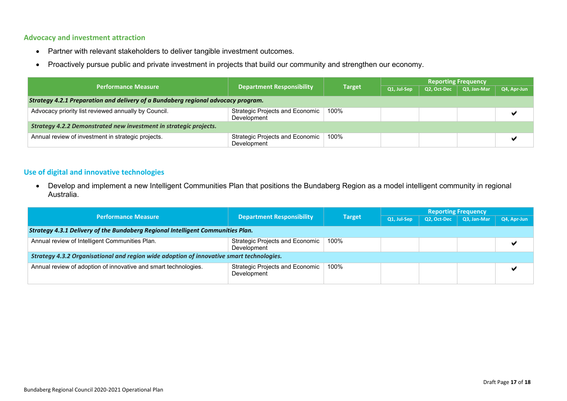#### **Advocacy and investment attraction**

- Partner with relevant stakeholders to deliver tangible investment outcomes.
- Proactively pursue public and private investment in projects that build our community and strengthen our economy.

| <b>Performance Measure</b>                                                        |                                                | <b>Target</b> | <b>Reporting Frequency</b> |             |             |             |  |  |
|-----------------------------------------------------------------------------------|------------------------------------------------|---------------|----------------------------|-------------|-------------|-------------|--|--|
|                                                                                   | <b>Department Responsibility</b>               |               | Q1, Jul-Sep                | Q2, Oct-Dec | Q3, Jan-Mar | Q4, Apr-Jun |  |  |
| Strategy 4.2.1 Preparation and delivery of a Bundaberg regional advocacy program. |                                                |               |                            |             |             |             |  |  |
| Advocacy priority list reviewed annually by Council.                              | Strategic Projects and Economic<br>Development | 100%          |                            |             |             |             |  |  |
| Strategy 4.2.2 Demonstrated new investment in strategic projects.                 |                                                |               |                            |             |             |             |  |  |
| Annual review of investment in strategic projects.                                | Strategic Projects and Economic<br>Development | 100%          |                            |             |             |             |  |  |

#### **Use of digital and innovative technologies**

• Develop and implement a new Intelligent Communities Plan that positions the Bundaberg Region as a model intelligent community in regional Australia.

|                                                                                          |                                                  | <b>Target</b> | <b>Reporting Frequency</b> |             |             |             |  |
|------------------------------------------------------------------------------------------|--------------------------------------------------|---------------|----------------------------|-------------|-------------|-------------|--|
| <sup>'</sup> Performance Measure .                                                       | <b>Department Responsibility</b>                 |               | Q1, Jul-Sep                | Q2, Oct-Dec | Q3, Jan-Mar | Q4, Apr-Jun |  |
| Strategy 4.3.1 Delivery of the Bundaberg Regional Intelligent Communities Plan.          |                                                  |               |                            |             |             |             |  |
| Annual review of Intelligent Communities Plan.                                           | Strategic Projects and Economic  <br>Development | 100%          |                            |             |             |             |  |
| Strategy 4.3.2 Organisational and region wide adoption of innovative smart technologies. |                                                  |               |                            |             |             |             |  |
| Annual review of adoption of innovative and smart technologies.                          | Strategic Projects and Economic  <br>Development | 100%          |                            |             |             |             |  |